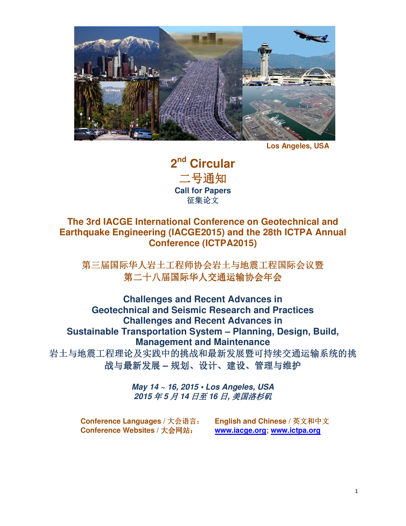

**Los Angeles, USA**

**2 nd Circular**  二号通知 **Call for Papers**  征集论文

# **The 3rd IACGE International Conference on Geotechnical and Earthquake Engineering (IACGE2015) and the 28th ICTPA Annual Conference (ICTPA2015)**

第三届国际华人岩土工程师协会岩土与地震工程国际会议暨 第二十八届国际华人交通运输协会年会

**Challenges and Recent Advances in Geotechnical and Seismic Research and Practices Challenges and Recent Advances in Sustainable Transportation System – Planning, Design, Build, Management and Maintenance**  岩土与地震工程理论及实践中的挑战和最新发展暨可持续交通运输系统的挑 战与最新发展 **–** 规划、设计、建设、管理与维护

> **May 14 ~ 16, 2015 • Los Angeles, USA 2015** 年 **5** 月 **14** 日至 **16** 日**,** 美国洛杉矶

**Conference Languages /** 大会语言: **English and Chinese /** 英文和中文 **Conference Websites /** 大会网站: **www.iacge.org; www.ictpa.org**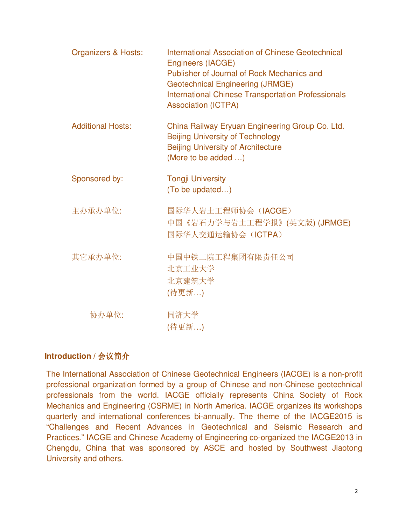| <b>Organizers &amp; Hosts:</b> | International Association of Chinese Geotechnical<br>Engineers (IACGE)<br>Publisher of Journal of Rock Mechanics and<br><b>Geotechnical Engineering (JRMGE)</b><br><b>International Chinese Transportation Professionals</b><br><b>Association (ICTPA)</b> |
|--------------------------------|------------------------------------------------------------------------------------------------------------------------------------------------------------------------------------------------------------------------------------------------------------|
| <b>Additional Hosts:</b>       | China Railway Eryuan Engineering Group Co. Ltd.<br><b>Beijing University of Technology</b><br><b>Beijing University of Architecture</b><br>(More to be added )                                                                                             |
| Sponsored by:                  | <b>Tongji University</b><br>(To be updated)                                                                                                                                                                                                                |
| 主办承办单位:                        | 国际华人岩土工程师协会 (IACGE)<br>中国《岩石力学与岩土工程学报》(英文版) (JRMGE)<br>国际华人交通运输协会 (ICTPA)                                                                                                                                                                                  |
| 其它承办单位:                        | 中国中铁二院工程集团有限责任公司<br>北京工业大学<br>北京建筑大学<br>(待更新)                                                                                                                                                                                                              |
| 协办单位:                          | 同济大学<br>(待更新)                                                                                                                                                                                                                                              |

## **Introduction / 会议简介**

The International Association of Chinese Geotechnical Engineers (IACGE) is a non-profit professional organization formed by a group of Chinese and non-Chinese geotechnical professionals from the world. IACGE officially represents China Society of Rock Mechanics and Engineering (CSRME) in North America. IACGE organizes its workshops quarterly and international conferences bi-annually. The theme of the IACGE2015 is "Challenges and Recent Advances in Geotechnical and Seismic Research and Practices." IACGE and Chinese Academy of Engineering co-organized the IACGE2013 in Chengdu, China that was sponsored by ASCE and hosted by Southwest Jiaotong University and others.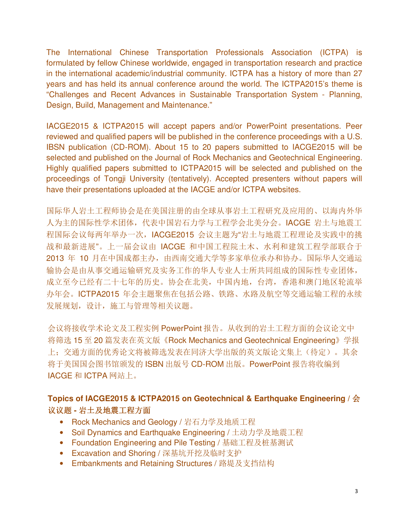The International Chinese Transportation Professionals Association (ICTPA) is formulated by fellow Chinese worldwide, engaged in transportation research and practice in the international academic/industrial community. ICTPA has a history of more than 27 years and has held its annual conference around the world. The ICTPA2015's theme is "Challenges and Recent Advances in Sustainable Transportation System - Planning, Design, Build, Management and Maintenance."

IACGE2015 & ICTPA2015 will accept papers and/or PowerPoint presentations. Peer reviewed and qualified papers will be published in the conference proceedings with a U.S. IBSN publication (CD-ROM). About 15 to 20 papers submitted to IACGE2015 will be selected and published on the Journal of Rock Mechanics and Geotechnical Engineering. Highly qualified papers submitted to ICTPA2015 will be selected and published on the proceedings of Tongji University (tentatively). Accepted presenters without papers will have their presentations uploaded at the IACGE and/or ICTPA websites.

国际华人岩土工程师协会是在美国注册的由全球从事岩土工程研究及应用的、以海内外华 人为主的国际性学术团体,代表中国岩石力学与工程学会北美分会。IACGE 岩土与地震工 程国际会议每两年举办一次, IACGE2015 会议主题为"岩土与地震工程理论及实践中的挑 战和最新进展"。上一届会议由 IACGE 和中国工程院土木、水利和建筑工程学部联合于 2013 年 10 月在中国成都主办,由西南交通大学等多家单位承办和协办。国际华人交通运 输协会是由从事交通运输研究及实务工作的华人专业人士所共同组成的国际性专业团体, 成立至今已经有二十七年的历史。协会在北美,中国内地,台湾,香港和澳门地区轮流举 办年会。ICTPA2015 年会主题聚焦在包括公路、铁路、水路及航空等交通运输工程的永续 发展规划,设计,施工与管理等相关议题。

会议将接收学术论文及工程实例 PowerPoint 报告。从收到的岩土工程方面的会议论文中 将筛选 15 至 20 篇发表在英文版《Rock Mechanics and Geotechnical Engineering》学报 上;交通方面的优秀论文将被筛选发表在同济大学出版的英文版论文集上(待定)。其余 将于美国国会图书馆颁发的 ISBN 出版号 CD-ROM 出版。PowerPoint 报告将收编到 IACGE 和 ICTPA 网站上。

# **Topics of IACGE2015 & ICTPA2015 on Geotechnical & Earthquake Engineering /** 会 议议题 **-** 岩土及地震工程方面

- Rock Mechanics and Geology / 岩石力学及地质工程
- Soil Dynamics and Earthquake Engineering / 土动力学及地震工程
- Foundation Engineering and Pile Testing / 基础工程及桩基测试
- Excavation and Shoring / 深基坑开挖及临时支护
- Embankments and Retaining Structures / 路堤及支挡结构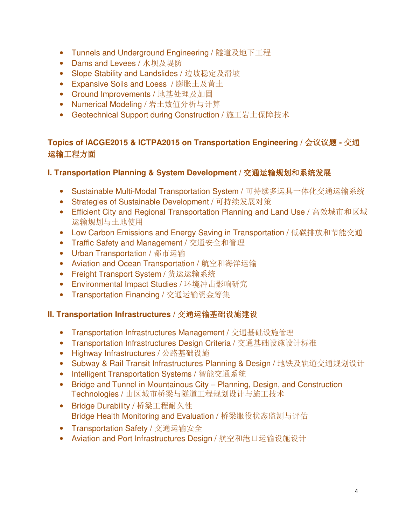- Tunnels and Underground Engineering / 隧道及地下工程
- Dams and Levees / 水坝及堤防
- Slope Stability and Landslides / 边坡稳定及滑坡
- Expansive Soils and Loess / 膨胀土及黄土
- Ground Improvements / 地基处理及加固
- Numerical Modeling / 岩土数值分析与计算
- Geotechnical Support during Construction / 施工岩土保障技术

# **Topics of IACGE2015 & ICTPA2015 on Transportation Engineering /** 会议议题 **-** 交通 运输工程方面

## **I. Transportation Planning & System Development /** 交通运输规划和系统发展

- Sustainable Multi-Modal Transportation System / 可持续多运具一体化交通运输系统
- Strategies of Sustainable Development / 可持续发展对策
- Efficient City and Regional Transportation Planning and Land Use / 高效城市和区域 运输规划与土地使用
- Low Carbon Emissions and Energy Saving in Transportation / 低碳排放和节能交通
- Traffic Safety and Management / 交通安全和管理
- Urban Transportation / 都市运输
- Aviation and Ocean Transportation / 航空和海洋运输
- Freight Transport System / 货运运输系统
- Environmental Impact Studies / 环境冲击影响研究
- Transportation Financing / 交通运输资金筹集

## **II. Transportation Infrastructures /** 交通运输基础设施建设

- Transportation Infrastructures Management / 交通基础设施管理
- Transportation Infrastructures Design Criteria / 交通基础设施设计标准
- Highway Infrastructures / 公路基础设施
- Subway & Rail Transit Infrastructures Planning & Design / 地铁及轨道交通规划设计
- Intelligent Transportation Systems / 智能交通系统
- Bridge and Tunnel in Mountainous City Planning, Design, and Construction Technologies / 山区城市桥梁与隧道工程规划设计与施工技术
- Bridge Durability / 桥梁工程耐久性 Bridge Health Monitoring and Evaluation / 桥梁服役状态监测与评估
- Transportation Safety / 交通运输安全
- Aviation and Port Infrastructures Design / 航空和港口运输设施设计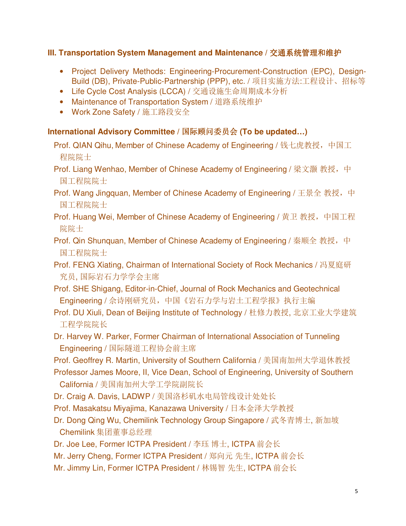## **III. Transportation System Management and Maintenance /** 交通系统管理和维护

- Project Delivery Methods: Engineering-Procurement-Construction (EPC), Design-Build (DB), Private-Public-Partnership (PPP), etc. / 项目实施方法:工程设计、招标等
- Life Cycle Cost Analysis (LCCA) / 交通设施生命周期成本分析
- Maintenance of Transportation System / 道路系统维护
- Work Zone Safety / 施工路段安全

## **International Advisory Committee /** 国际顾问委员会 **(To be updated…)**

- Prof. QIAN Qihu, Member of Chinese Academy of Engineering / 钱七虎教授, 中国工 程院院士
- Prof. Liang Wenhao, Member of Chinese Academy of Engineering / 梁文灏 教授, 中 国工程院院士
- Prof. Wang Jingquan, Member of Chinese Academy of Engineering / 王景全 教授, 中 国工程院院士
- Prof. Huang Wei, Member of Chinese Academy of Engineering / 黄卫 教授, 中国工程 院院士
- Prof. Qin Shunquan, Member of Chinese Academy of Engineering / 秦顺全 教授, 中 国工程院院士
- Prof. FENG Xiating, Chairman of International Society of Rock Mechanics / 冯夏庭研 究员, 国际岩石力学学会主席
- Prof. SHE Shigang, Editor-in-Chief, Journal of Rock Mechanics and Geotechnical Engineering / 佘诗刚研究员,中国《岩石力学与岩土工程学报》执行主编
- Prof. DU Xiuli, Dean of Beijing Institute of Technology / 杜修力教授, 北京工业大学建筑 工程学院院长
- Dr. Harvey W. Parker, Former Chairman of International Association of Tunneling Engineering / 国际隧道工程协会前主席
- Prof. Geoffrey R. Martin, University of Southern California / 美国南加州大学退休教授
- Professor James Moore, II, Vice Dean, School of Engineering, University of Southern California / 美国南加州大学工学院副院长
- Dr. Craig A. Davis, LADWP / 美国洛杉矶水电局管线设计处处长
- Prof. Masakatsu Miyajima, Kanazawa University / 日本金泽大学教授
- Dr. Dong Qing Wu, Chemilink Technology Group Singapore / 武冬青博士, 新加坡 Chemilink 集团董事总经理
- Dr. Joe Lee, Former ICTPA President / 李珏 博士, ICTPA 前会长
- Mr. Jerry Cheng, Former ICTPA President / 郑向元 先生, ICTPA 前会长
- Mr. Jimmy Lin, Former ICTPA President / 林锡智 先生, ICTPA 前会长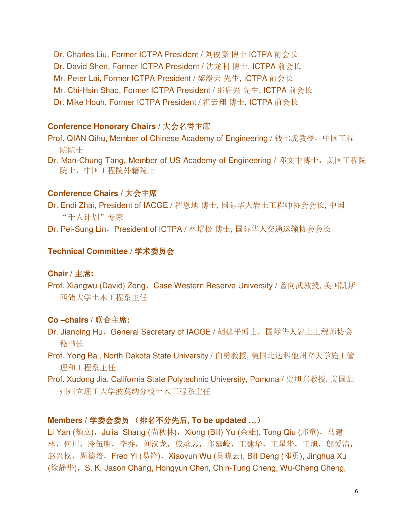Dr. Charles Liu, Former ICTPA President / 刘俊嘉 博士 ICTPA 前会长 Dr. David Shen, Former ICTPA President / 沈龙利 博士, ICTPA 前会长 Mr. Peter Lai, Former ICTPA President / 黎澄天 先生, ICTPA 前会长 Mr. Chi-Hsin Shao, Former ICTPA President / 邵启兴 先生, ICTPA 前会长 Dr. Mike Houh, Former ICTPA President / 霍云翔 博士, ICTPA 前会长

#### **Conference Honorary Chairs /** 大会名誉主席

Prof. QIAN Qihu, Member of Chinese Academy of Engineering / 钱七虎教授,中国工程 院院士

Dr. Man-Chung Tang, Member of US Academy of Engineering / 邓文中博士, 美国工程院 院士,中国工程院外籍院士

#### **Conference Chairs /** 大会主席

Dr. Endi Zhai, President of IACGE / 翟恩地 博士, 国际华人岩土工程师协会会长, 中国 "千人计划"专家

Dr. Pei-Sung Lin, President of ICTPA / 林培松 博士, 国际华人交通运输协会会长

#### **Technical Committee /** 学术委员会

### **Chair /** 主席**:**

Prof. Xiangwu (David) Zeng, Case Western Reserve University / 曾向武教授, 美国凯斯 西储大学土木工程系主任

#### **Co –chairs /** 联合主席**:**

Dr. Jianping Hu, General Secretary of IACGE / 胡建平博士, 国际华人岩土工程师协会 秘书长

Prof. Yong Bai, North Dakota State University / 白勇教授, 美国北达科他州立大学施工管 理和工程系主任

Prof. Xudong Jia, California State Polytechnic University, Pomona / 贾旭东教授, 美国加 州州立理工大学波莫纳分校土木工程系主任

### **Members /** 学委会委员 (排名不分先后**, To be updated …**)

Li Yan (顏立), Julia Shang (尚秋林), Xiong (Bill) Yu (余雄), Tong Qiu (邱童), 马建 林,何川,冷伍明,李乔,刘汉龙,戚承志,邱延峻,王建华,王星华,王旭,邬爱清, 赵兴权, 周德培, Fred Yi (易锋), Xiaoyun Wu (吴晓云), Bill Deng (邓勇), Jinghua Xu (徐静华), S. K. Jason Chang, Hongyun Chen, Chin-Tung Cheng, Wu-Cheng Cheng,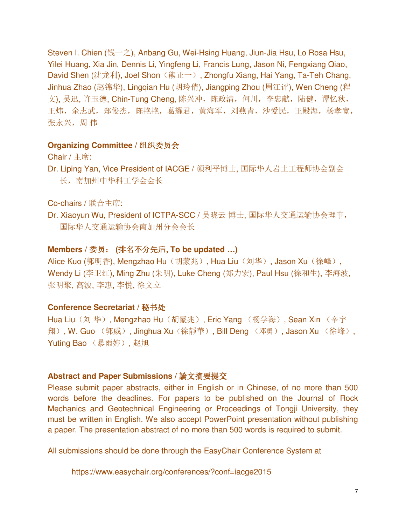Steven I. Chien (钱一之), Anbang Gu, Wei-Hsing Huang, Jiun-Jia Hsu, Lo Rosa Hsu, Yilei Huang, Xia Jin, Dennis Li, Yingfeng Li, Francis Lung, Jason Ni, Fengxiang Qiao, David Shen (沈龙利), Joel Shon (熊正一), Zhongfu Xiang, Hai Yang, Ta-Teh Chang, Jinhua Zhao (赵锦华), Lingqian Hu (胡玲倩), Jiangping Zhou (周江评), Wen Cheng (程 文), 吴迅, 许玉德, Chin-Tung Cheng, 陈兴冲, 陈政清, 何川, 李忠献, 陆健, 谭忆秋, 王炜,余志武,郑俊杰,陈艳艳,葛耀君,黄海军,刘燕青,沙爱民,王殿海,杨孝宽, 张永兴,周 伟

#### **Organizing Committee /** 组织委员会

Chair / 主席:

Dr. Liping Yan, Vice President of IACGE / 颜利平博士, 国际华人岩土工程师协会副会 长,南加州中华科工学会会长

Co-chairs / 联合主席:

Dr. Xiaoyun Wu, President of ICTPA-SCC / 吴晓云 博士, 国际华人交通运输协会理事, 国际华人交通运输协会南加州分会会长

#### **Members /** 委员: **(**排名不分先后**, To be updated …)**

Alice Kuo (郭明香), Mengzhao Hu (胡蒙兆), Hua Liu (刘华), Jason Xu (徐峰), Wendy Li (李卫红), Ming Zhu (朱明), Luke Cheng (郑力宏), Paul Hsu (徐和生), 李海波, 张明聚, 高波, 李惠, 李悦, 徐文立

#### **Conference Secretariat /** 秘书处

Hua Liu(刘华), Mengzhao Hu(胡蒙兆), Eric Yang (杨学海), Sean Xin (辛宇 翔), W. Guo (郭威), Jinghua Xu(徐靜華), Bill Deng (邓勇), Jason Xu (徐峰), Yuting Bao (暴雨婷), 赵旭

#### **Abstract and Paper Submissions /** 論文摘要提交

Please submit paper abstracts, either in English or in Chinese, of no more than 500 words before the deadlines. For papers to be published on the Journal of Rock Mechanics and Geotechnical Engineering or Proceedings of Tongji University, they must be written in English. We also accept PowerPoint presentation without publishing a paper. The presentation abstract of no more than 500 words is required to submit.

All submissions should be done through the EasyChair Conference System at

https://www.easychair.org/conferences/?conf=iacge2015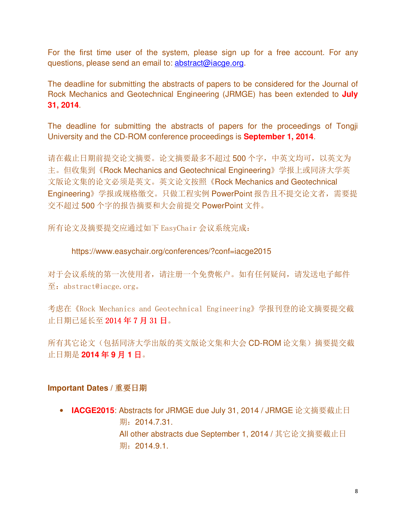For the first time user of the system, please sign up for a free account. For any questions, please send an email to: abstract@iacge.org.

The deadline for submitting the abstracts of papers to be considered for the Journal of Rock Mechanics and Geotechnical Engineering (JRMGE) has been extended to **July 31, 2014**.

The deadline for submitting the abstracts of papers for the proceedings of Tongji University and the CD-ROM conference proceedings is **September 1, 2014**.

请在截止日期前提交论文摘要。论文摘要最多不超过 500 个字,中英文均可,以英文为 主。但收集到《Rock Mechanics and Geotechnical Engineering》学报上或同济大学英 文版论文集的论文必须是英文。英文论文按照《Rock Mechanics and Geotechnical Engineering》学报或规格缴交。只做工程实例 PowerPoint 报告且不提交论文者,需要提 交不超过 500 个字的报告摘要和大会前提交 PowerPoint 文件。

所有论文及摘要提交应通过如下 EasyChair 会议系统完成:

### https://www.easychair.org/conferences/?conf=iacge2015

对于会议系统的第一次使用者,请注册一个免费帐户。如有任何疑问,请发送电子邮件 至:abstract@iacge.org。

考虑在《Rock Mechanics and Geotechnical Engineering》学报刊登的论文摘要提交截 止日期已延长至 2014 年 7 月 31 日。

所有其它论文(包括同济大学出版的英文版论文集和大会 CD-ROM 论文集)摘要提交截 止日期是 **2014** 年 **9** 月 **1** 日。

### **Important Dates /** 重要日期

• **IACGE2015**: Abstracts for JRMGE due July 31, 2014 / JRMGE 论文摘要截止日 期: 2014.7.31. All other abstracts due September 1, 2014 / 其它论文摘要截止日 期: 2014.9.1.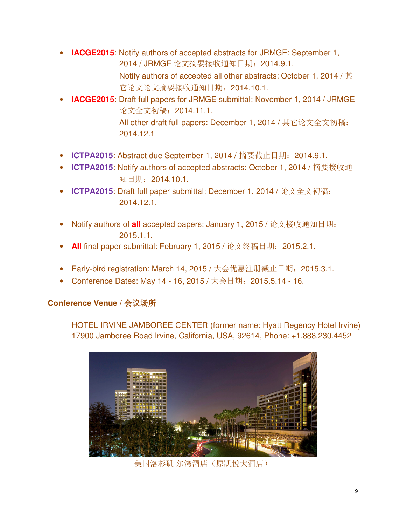• **IACGE2015**: Notify authors of accepted abstracts for JRMGE: September 1, 2014 / JRMGE 论文摘要接收通知日期:2014.9.1.

Notify authors of accepted all other abstracts: October 1, 2014 / 其 它论文论文摘要接收通知日期:2014.10.1.

- **IACGE2015**: Draft full papers for JRMGE submittal: November 1, 2014 / JRMGE 论文全文初稿:2014.11.1. All other draft full papers: December 1, 2014 / 其它论文全文初稿: 2014.12.1
- **ICTPA2015**: Abstract due September 1, 2014 / 摘要截止日期:2014.9.1.
- **ICTPA2015**: Notify authors of accepted abstracts: October 1, 2014 / 摘要接收通 知日期:2014.10.1.
- **ICTPA2015**: Draft full paper submittal: December 1, 2014 / 论文全文初稿: 2014.12.1.
- Notify authors of **all** accepted papers: January 1, 2015 / 论文接收通知日期: 2015.1.1.
- **All** final paper submittal: February 1, 2015 / 论文终稿日期:2015.2.1.
- Early-bird registration: March 14, 2015 / 大会优惠注册截止日期: 2015.3.1.
- Conference Dates: May 14 16, 2015 / 大会日期: 2015.5.14 16.

# **Conference Venue /** 会议场所

HOTEL IRVINE JAMBOREE CENTER (former name: Hyatt Regency Hotel Irvine) 17900 Jamboree Road Irvine, California, USA, 92614, Phone: +1.888.230.4452



美国洛杉矶 尔湾酒店(原凯悦大酒店)